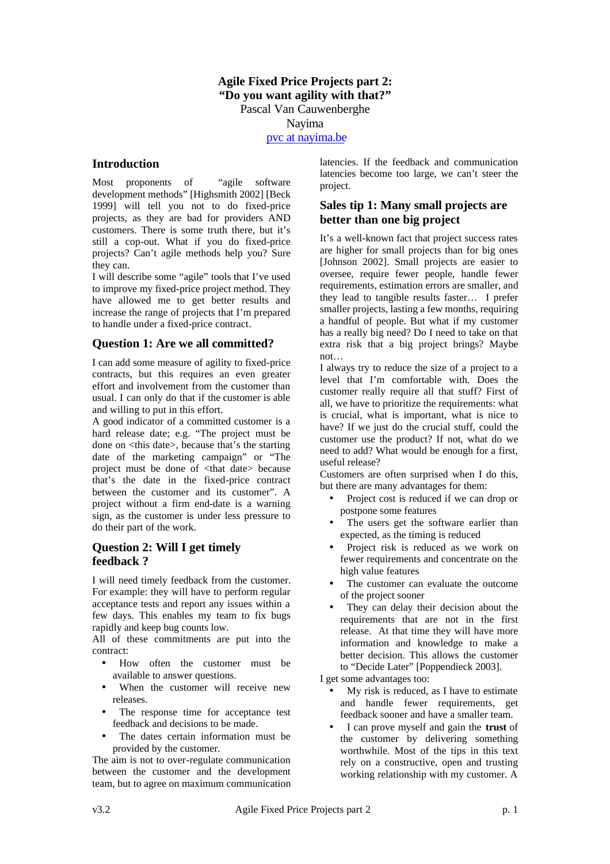## **Agile Fixed Price Projects part 2: "Do you want agility with that?"** Pascal Van Cauwenberghe Nayima

pvc at nayima.be

#### **Introduction**

Most proponents of "agile software development methods" [Highsmith 2002] [Beck 1999] will tell you not to do fixed-price projects, as they are bad for providers AND customers. There is some truth there, but it's still a cop-out. What if you do fixed-price projects? Can't agile methods help you? Sure they can.

I will describe some "agile" tools that I've used to improve my fixed-price project method. They have allowed me to get better results and increase the range of projects that I'm prepared to handle under a fixed-price contract.

#### **Question 1: Are we all committed?**

I can add some measure of agility to fixed-price contracts, but this requires an even greater effort and involvement from the customer than usual. I can only do that if the customer is able and willing to put in this effort.

A good indicator of a committed customer is a hard release date; e.g. "The project must be done on <this date>, because that's the starting date of the marketing campaign" or "The project must be done of <that date> because that's the date in the fixed-price contract between the customer and its customer". A project without a firm end-date is a warning sign, as the customer is under less pressure to do their part of the work.

## **Question 2: Will I get timely feedback ?**

I will need timely feedback from the customer. For example: they will have to perform regular acceptance tests and report any issues within a few days. This enables my team to fix bugs rapidly and keep bug counts low.

All of these commitments are put into the contract:

- How often the customer must be available to answer questions.
- When the customer will receive new releases.
- The response time for acceptance test feedback and decisions to be made.
- The dates certain information must be provided by the customer.

The aim is not to over-regulate communication between the customer and the development team, but to agree on maximum communication latencies. If the feedback and communication latencies become too large, we can't steer the project.

## **Sales tip 1: Many small projects are better than one big project**

It's a well-known fact that project success rates are higher for small projects than for big ones [Johnson 2002]. Small projects are easier to oversee, require fewer people, handle fewer requirements, estimation errors are smaller, and they lead to tangible results faster… I prefer smaller projects, lasting a few months, requiring a handful of people. But what if my customer has a really big need? Do I need to take on that extra risk that a big project brings? Maybe not…

I always try to reduce the size of a project to a level that I'm comfortable with. Does the customer really require all that stuff? First of all, we have to prioritize the requirements: what is crucial, what is important, what is nice to have? If we just do the crucial stuff, could the customer use the product? If not, what do we need to add? What would be enough for a first, useful release?

Customers are often surprised when I do this, but there are many advantages for them:

- Project cost is reduced if we can drop or postpone some features
- The users get the software earlier than expected, as the timing is reduced
- Project risk is reduced as we work on fewer requirements and concentrate on the high value features
- The customer can evaluate the outcome of the project sooner
- They can delay their decision about the requirements that are not in the first release. At that time they will have more information and knowledge to make a better decision. This allows the customer to "Decide Later" [Poppendieck 2003].

I get some advantages too:

- My risk is reduced, as I have to estimate and handle fewer requirements, get feedback sooner and have a smaller team.
- I can prove myself and gain the **trust** of the customer by delivering something worthwhile. Most of the tips in this text rely on a constructive, open and trusting working relationship with my customer. A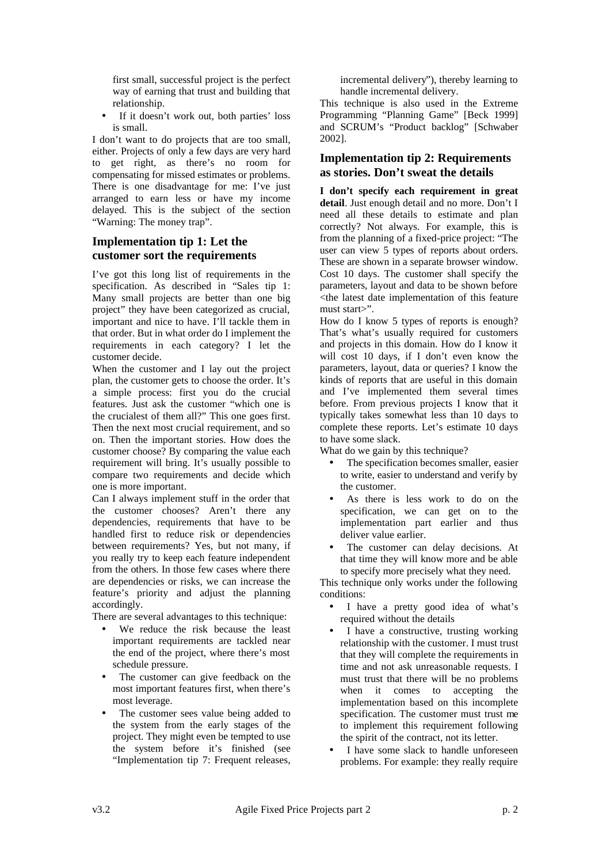first small, successful project is the perfect way of earning that trust and building that relationship.

If it doesn't work out, both parties' loss is small.

I don't want to do projects that are too small, either. Projects of only a few days are very hard to get right, as there's no room for compensating for missed estimates or problems. There is one disadvantage for me: I've just arranged to earn less or have my income delayed. This is the subject of the section "Warning: The money trap".

## **Implementation tip 1: Let the customer sort the requirements**

I've got this long list of requirements in the specification. As described in "Sales tip 1: Many small projects are better than one big project" they have been categorized as crucial, important and nice to have. I'll tackle them in that order. But in what order do I implement the requirements in each category? I let the customer decide.

When the customer and I lay out the project plan, the customer gets to choose the order. It's a simple process: first you do the crucial features. Just ask the customer "which one is the crucialest of them all?" This one goes first. Then the next most crucial requirement, and so on. Then the important stories. How does the customer choose? By comparing the value each requirement will bring. It's usually possible to compare two requirements and decide which one is more important.

Can I always implement stuff in the order that the customer chooses? Aren't there any dependencies, requirements that have to be handled first to reduce risk or dependencies between requirements? Yes, but not many, if you really try to keep each feature independent from the others. In those few cases where there are dependencies or risks, we can increase the feature's priority and adjust the planning accordingly.

There are several advantages to this technique:

- We reduce the risk because the least important requirements are tackled near the end of the project, where there's most schedule pressure.
- The customer can give feedback on the most important features first, when there's most leverage.
- The customer sees value being added to the system from the early stages of the project. They might even be tempted to use the system before it's finished (see "Implementation tip 7: Frequent releases,

incremental delivery"), thereby learning to handle incremental delivery.

This technique is also used in the Extreme Programming "Planning Game" [Beck 1999] and SCRUM's "Product backlog" [Schwaber 2002].

## **Implementation tip 2: Requirements as stories. Don't sweat the details**

**I don't specify each requirement in great detail**. Just enough detail and no more. Don't I need all these details to estimate and plan correctly? Not always. For example, this is from the planning of a fixed-price project: "The user can view 5 types of reports about orders. These are shown in a separate browser window. Cost 10 days. The customer shall specify the parameters, layout and data to be shown before <the latest date implementation of this feature must start>".

How do I know 5 types of reports is enough? That's what's usually required for customers and projects in this domain. How do I know it will cost 10 days, if I don't even know the parameters, layout, data or queries? I know the kinds of reports that are useful in this domain and I've implemented them several times before. From previous projects I know that it typically takes somewhat less than 10 days to complete these reports. Let's estimate 10 days to have some slack.

What do we gain by this technique?

- The specification becomes smaller, easier to write, easier to understand and verify by the customer.
- As there is less work to do on the specification, we can get on to the implementation part earlier and thus deliver value earlier.
- The customer can delay decisions. At that time they will know more and be able to specify more precisely what they need.

This technique only works under the following conditions:

- I have a pretty good idea of what's required without the details
- I have a constructive, trusting working relationship with the customer. I must trust that they will complete the requirements in time and not ask unreasonable requests. I must trust that there will be no problems when it comes to accepting the implementation based on this incomplete specification. The customer must trust me to implement this requirement following the spirit of the contract, not its letter.
- I have some slack to handle unforeseen problems. For example: they really require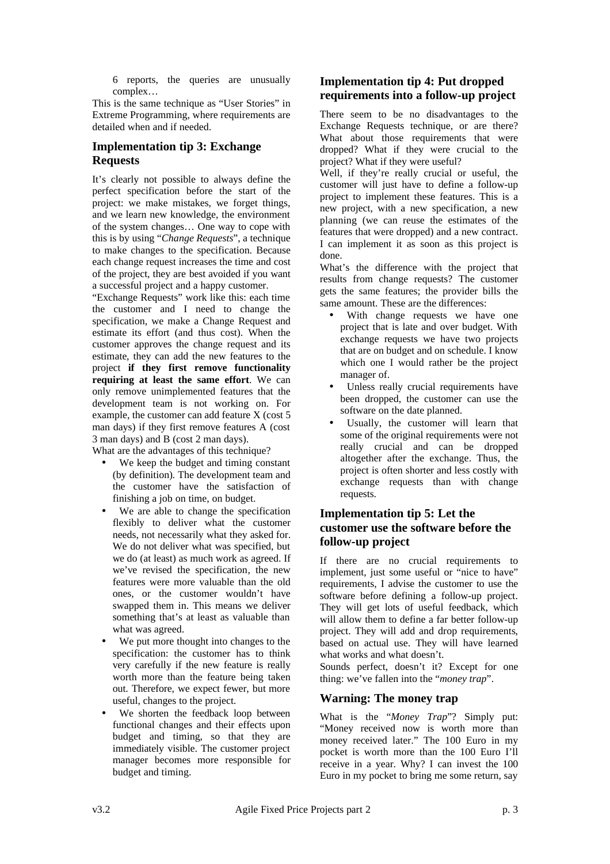6 reports, the queries are unusually complex…

This is the same technique as "User Stories" in Extreme Programming, where requirements are detailed when and if needed.

## **Implementation tip 3: Exchange Requests**

It's clearly not possible to always define the perfect specification before the start of the project: we make mistakes, we forget things, and we learn new knowledge, the environment of the system changes… One way to cope with this is by using "*Change Requests*", a technique to make changes to the specification. Because each change request increases the time and cost of the project, they are best avoided if you want a successful project and a happy customer.

"Exchange Requests" work like this: each time the customer and I need to change the specification, we make a Change Request and estimate its effort (and thus cost). When the customer approves the change request and its estimate, they can add the new features to the project **if they first remove functionality requiring at least the same effort**. We can only remove unimplemented features that the development team is not working on. For example, the customer can add feature X (cost 5 man days) if they first remove features A (cost 3 man days) and B (cost 2 man days).

What are the advantages of this technique?

- We keep the budget and timing constant (by definition). The development team and the customer have the satisfaction of finishing a job on time, on budget.
- We are able to change the specification flexibly to deliver what the customer needs, not necessarily what they asked for. We do not deliver what was specified, but we do (at least) as much work as agreed. If we've revised the specification, the new features were more valuable than the old ones, or the customer wouldn't have swapped them in. This means we deliver something that's at least as valuable than what was agreed.
- We put more thought into changes to the specification: the customer has to think very carefully if the new feature is really worth more than the feature being taken out. Therefore, we expect fewer, but more useful, changes to the project.
- We shorten the feedback loop between functional changes and their effects upon budget and timing, so that they are immediately visible. The customer project manager becomes more responsible for budget and timing.

## **Implementation tip 4: Put dropped requirements into a follow-up project**

There seem to be no disadvantages to the Exchange Requests technique, or are there? What about those requirements that were dropped? What if they were crucial to the project? What if they were useful?

Well, if they're really crucial or useful, the customer will just have to define a follow-up project to implement these features. This is a new project, with a new specification, a new planning (we can reuse the estimates of the features that were dropped) and a new contract. I can implement it as soon as this project is done.

What's the difference with the project that results from change requests? The customer gets the same features; the provider bills the same amount. These are the differences:

- With change requests we have one project that is late and over budget. With exchange requests we have two projects that are on budget and on schedule. I know which one I would rather be the project manager of.
- Unless really crucial requirements have been dropped, the customer can use the software on the date planned.
- Usually, the customer will learn that some of the original requirements were not really crucial and can be dropped altogether after the exchange. Thus, the project is often shorter and less costly with exchange requests than with change requests.

### **Implementation tip 5: Let the customer use the software before the follow-up project**

If there are no crucial requirements to implement, just some useful or "nice to have" requirements, I advise the customer to use the software before defining a follow-up project. They will get lots of useful feedback, which will allow them to define a far better follow-up project. They will add and drop requirements, based on actual use. They will have learned what works and what doesn't.

Sounds perfect, doesn't it? Except for one thing: we've fallen into the "*money trap*".

# **Warning: The money trap**

What is the "*Money Trap*"? Simply put: "Money received now is worth more than money received later." The 100 Euro in my pocket is worth more than the 100 Euro I'll receive in a year. Why? I can invest the 100 Euro in my pocket to bring me some return, say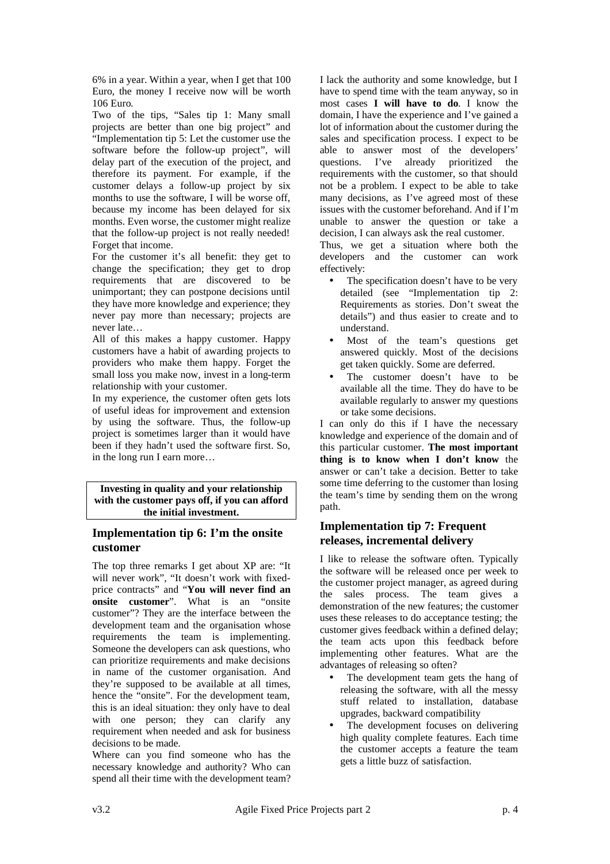6% in a year. Within a year, when I get that 100 Euro, the money I receive now will be worth 106 Euro.

Two of the tips, "Sales tip 1: Many small projects are better than one big project" and "Implementation tip 5: Let the customer use the software before the follow-up project", will delay part of the execution of the project, and therefore its payment. For example, if the customer delays a follow-up project by six months to use the software, I will be worse off, because my income has been delayed for six months. Even worse, the customer might realize that the follow-up project is not really needed! Forget that income.

For the customer it's all benefit: they get to change the specification; they get to drop requirements that are discovered to be unimportant; they can postpone decisions until they have more knowledge and experience; they never pay more than necessary; projects are never late…

All of this makes a happy customer. Happy customers have a habit of awarding projects to providers who make them happy. Forget the small loss you make now, invest in a long-term relationship with your customer.

In my experience, the customer often gets lots of useful ideas for improvement and extension by using the software. Thus, the follow-up project is sometimes larger than it would have been if they hadn't used the software first. So, in the long run I earn more…

**Investing in quality and your relationship with the customer pays off, if you can afford the initial investment.**

## **Implementation tip 6: I'm the onsite customer**

The top three remarks I get about XP are: "It will never work", "It doesn't work with fixedprice contracts" and "**You will never find an onsite customer**". What is an "onsite customer"? They are the interface between the development team and the organisation whose requirements the team is implementing. Someone the developers can ask questions, who can prioritize requirements and make decisions in name of the customer organisation. And they're supposed to be available at all times, hence the "onsite". For the development team, this is an ideal situation: they only have to deal with one person; they can clarify any requirement when needed and ask for business decisions to be made.

Where can you find someone who has the necessary knowledge and authority? Who can spend all their time with the development team? I lack the authority and some knowledge, but I have to spend time with the team anyway, so in most cases **I will have to do**. I know the domain, I have the experience and I've gained a lot of information about the customer during the sales and specification process. I expect to be able to answer most of the developers' questions. I've already prioritized the requirements with the customer, so that should not be a problem. I expect to be able to take many decisions, as I've agreed most of these issues with the customer beforehand. And if I'm unable to answer the question or take a decision, I can always ask the real customer.

Thus, we get a situation where both the developers and the customer can work effectively:

- The specification doesn't have to be very detailed (see "Implementation tip 2: Requirements as stories. Don't sweat the details") and thus easier to create and to understand.
- Most of the team's questions get answered quickly. Most of the decisions get taken quickly. Some are deferred.
- The customer doesn't have to be available all the time. They do have to be available regularly to answer my questions or take some decisions.

I can only do this if I have the necessary knowledge and experience of the domain and of this particular customer. **The most important thing is to know when I don't know** the answer or can't take a decision. Better to take some time deferring to the customer than losing the team's time by sending them on the wrong path.

## **Implementation tip 7: Frequent releases, incremental delivery**

I like to release the software often. Typically the software will be released once per week to the customer project manager, as agreed during the sales process. The team gives a demonstration of the new features; the customer uses these releases to do acceptance testing; the customer gives feedback within a defined delay; the team acts upon this feedback before implementing other features. What are the advantages of releasing so often?

- The development team gets the hang of releasing the software, with all the messy stuff related to installation, database upgrades, backward compatibility
- The development focuses on delivering high quality complete features. Each time the customer accepts a feature the team gets a little buzz of satisfaction.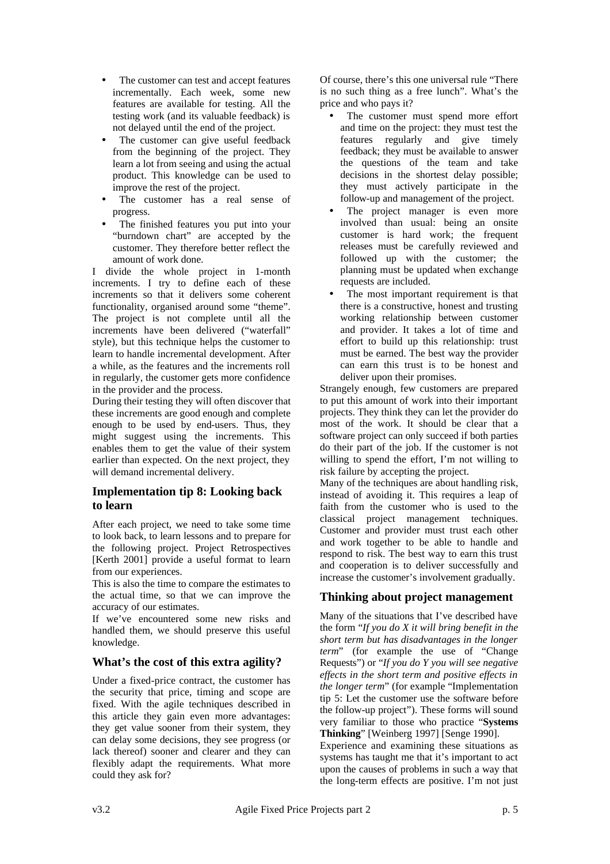- The customer can test and accept features incrementally. Each week, some new features are available for testing. All the testing work (and its valuable feedback) is not delayed until the end of the project.
- The customer can give useful feedback from the beginning of the project. They learn a lot from seeing and using the actual product. This knowledge can be used to improve the rest of the project.
- The customer has a real sense of progress.
- The finished features you put into your "burndown chart" are accepted by the customer. They therefore better reflect the amount of work done.

I divide the whole project in 1-month increments. I try to define each of these increments so that it delivers some coherent functionality, organised around some "theme". The project is not complete until all the increments have been delivered ("waterfall" style), but this technique helps the customer to learn to handle incremental development. After a while, as the features and the increments roll in regularly, the customer gets more confidence in the provider and the process.

During their testing they will often discover that these increments are good enough and complete enough to be used by end-users. Thus, they might suggest using the increments. This enables them to get the value of their system earlier than expected. On the next project, they will demand incremental delivery.

## **Implementation tip 8: Looking back to learn**

After each project, we need to take some time to look back, to learn lessons and to prepare for the following project. Project Retrospectives [Kerth 2001] provide a useful format to learn from our experiences.

This is also the time to compare the estimates to the actual time, so that we can improve the accuracy of our estimates.

If we've encountered some new risks and handled them, we should preserve this useful knowledge.

## **What's the cost of this extra agility?**

Under a fixed-price contract, the customer has the security that price, timing and scope are fixed. With the agile techniques described in this article they gain even more advantages: they get value sooner from their system, they can delay some decisions, they see progress (or lack thereof) sooner and clearer and they can flexibly adapt the requirements. What more could they ask for?

Of course, there's this one universal rule "There is no such thing as a free lunch". What's the price and who pays it?

- The customer must spend more effort and time on the project: they must test the features regularly and give timely feedback; they must be available to answer the questions of the team and take decisions in the shortest delay possible; they must actively participate in the follow-up and management of the project.
- The project manager is even more involved than usual: being an onsite customer is hard work; the frequent releases must be carefully reviewed and followed up with the customer; the planning must be updated when exchange requests are included.
- The most important requirement is that there is a constructive, honest and trusting working relationship between customer and provider. It takes a lot of time and effort to build up this relationship: trust must be earned. The best way the provider can earn this trust is to be honest and deliver upon their promises.

Strangely enough, few customers are prepared to put this amount of work into their important projects. They think they can let the provider do most of the work. It should be clear that a software project can only succeed if both parties do their part of the job. If the customer is not willing to spend the effort, I'm not willing to risk failure by accepting the project.

Many of the techniques are about handling risk, instead of avoiding it. This requires a leap of faith from the customer who is used to the classical project management techniques. Customer and provider must trust each other and work together to be able to handle and respond to risk. The best way to earn this trust and cooperation is to deliver successfully and increase the customer's involvement gradually.

# **Thinking about project management**

Many of the situations that I've described have the form "*If you do X it will bring benefit in the short term but has disadvantages in the longer term*" (for example the use of "Change Requests") or "*If you do Y you will see negative effects in the short term and positive effects in the longer term*" (for example "Implementation tip 5: Let the customer use the software before the follow-up project"). These forms will sound very familiar to those who practice "**Systems Thinking**" [Weinberg 1997] [Senge 1990].

Experience and examining these situations as systems has taught me that it's important to act upon the causes of problems in such a way that the long-term effects are positive. I'm not just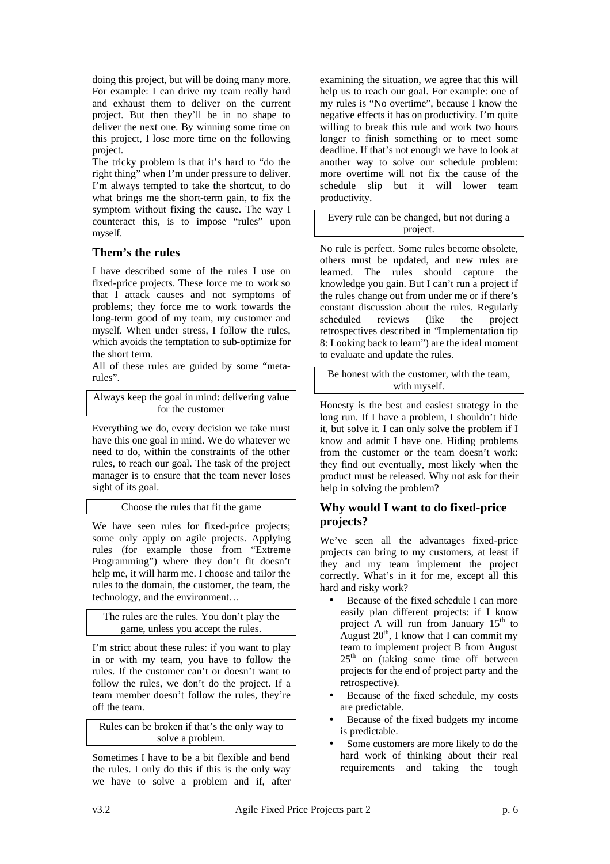doing this project, but will be doing many more. For example: I can drive my team really hard and exhaust them to deliver on the current project. But then they'll be in no shape to deliver the next one. By winning some time on this project, I lose more time on the following project.

The tricky problem is that it's hard to "do the right thing" when I'm under pressure to deliver. I'm always tempted to take the shortcut, to do what brings me the short-term gain, to fix the symptom without fixing the cause. The way I counteract this, is to impose "rules" upon myself.

#### **Them's the rules**

I have described some of the rules I use on fixed-price projects. These force me to work so that I attack causes and not symptoms of problems; they force me to work towards the long-term good of my team, my customer and myself. When under stress, I follow the rules, which avoids the temptation to sub-optimize for the short term.

All of these rules are guided by some "metarules".

Always keep the goal in mind: delivering value for the customer

Everything we do, every decision we take must have this one goal in mind. We do whatever we need to do, within the constraints of the other rules, to reach our goal. The task of the project manager is to ensure that the team never loses sight of its goal.

Choose the rules that fit the game

We have seen rules for fixed-price projects; some only apply on agile projects. Applying rules (for example those from "Extreme Programming") where they don't fit doesn't help me, it will harm me. I choose and tailor the rules to the domain, the customer, the team, the technology, and the environment…

The rules are the rules. You don't play the game, unless you accept the rules.

I'm strict about these rules: if you want to play in or with my team, you have to follow the rules. If the customer can't or doesn't want to follow the rules, we don't do the project. If a team member doesn't follow the rules, they're off the team.

Rules can be broken if that's the only way to solve a problem.

Sometimes I have to be a bit flexible and bend the rules. I only do this if this is the only way we have to solve a problem and if, after examining the situation, we agree that this will help us to reach our goal. For example: one of my rules is "No overtime", because I know the negative effects it has on productivity. I'm quite willing to break this rule and work two hours longer to finish something or to meet some deadline. If that's not enough we have to look at another way to solve our schedule problem: more overtime will not fix the cause of the schedule slip but it will lower team productivity.

Every rule can be changed, but not during a project.

No rule is perfect. Some rules become obsolete, others must be updated, and new rules are learned. The rules should capture the knowledge you gain. But I can't run a project if the rules change out from under me or if there's constant discussion about the rules. Regularly scheduled reviews (like the project retrospectives described in "Implementation tip 8: Looking back to learn") are the ideal moment to evaluate and update the rules.

Be honest with the customer, with the team, with myself.

Honesty is the best and easiest strategy in the long run. If I have a problem, I shouldn't hide it, but solve it. I can only solve the problem if I know and admit I have one. Hiding problems from the customer or the team doesn't work: they find out eventually, most likely when the product must be released. Why not ask for their help in solving the problem?

## **Why would I want to do fixed-price projects?**

We've seen all the advantages fixed-price projects can bring to my customers, at least if they and my team implement the project correctly. What's in it for me, except all this hard and risky work?

- Because of the fixed schedule I can more easily plan different projects: if I know project A will run from January 15<sup>th</sup> to August  $20^{th}$ , I know that I can commit my team to implement project B from August  $25<sup>th</sup>$  on (taking some time off between projects for the end of project party and the retrospective).
- Because of the fixed schedule, my costs are predictable.
- Because of the fixed budgets my income is predictable.
- Some customers are more likely to do the hard work of thinking about their real requirements and taking the tough